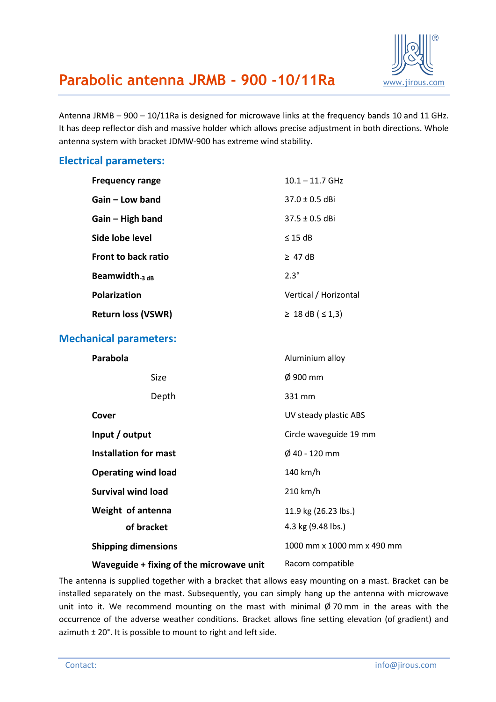

## **Parabolic antenna JRMB - 900 -10/11Ra** [www.jirous.com](http://www.jirous.com/)

Antenna JRMB – 900 – 10/11Ra is designed for microwave links at the frequency bands 10 and 11 GHz. It has deep reflector dish and massive holder which allows precise adjustment in both directions. Whole antenna system with bracket JDMW-900 has extreme wind stability.

#### **Electrical parameters:**

| <b>Frequency range</b>     | $10.1 - 11.7$ GHz           |
|----------------------------|-----------------------------|
| Gain – Low band            | $37.0 + 0.5$ dBi            |
| $Gain - High band$         | $37.5 \pm 0.5$ dBi          |
| Side lobe level            | $\leq$ 15 dB                |
| <b>Front to back ratio</b> | $\geq$ 47 dB                |
| Beamwidth $_3$ dB          | $2.3^{\circ}$               |
| <b>Polarization</b>        | Vertical / Horizontal       |
| <b>Return loss (VSWR)</b>  | $\geq 18$ dB ( $\leq 1,3$ ) |

#### **Mechanical parameters:**

| <b>Parabola</b>                          | Aluminium alloy            |
|------------------------------------------|----------------------------|
| Size                                     | $\varnothing$ 900 mm       |
| Depth                                    | 331 mm                     |
| Cover                                    | UV steady plastic ABS      |
| Input / output                           | Circle waveguide 19 mm     |
| <b>Installation for mast</b>             | $\phi$ 40 - 120 mm         |
| <b>Operating wind load</b>               | 140 km/h                   |
| <b>Survival wind load</b>                | 210 km/h                   |
| Weight of antenna                        | 11.9 kg (26.23 lbs.)       |
| of bracket                               | 4.3 kg (9.48 lbs.)         |
| <b>Shipping dimensions</b>               | 1000 mm x 1000 mm x 490 mm |
| Waveguide + fixing of the microwave unit | Racom compatible           |

The antenna is supplied together with a bracket that allows easy mounting on a mast. Bracket can be installed separately on the mast. Subsequently, you can simply hang up the antenna with microwave unit into it. We recommend mounting on the mast with minimal  $\emptyset$  70 mm in the areas with the occurrence of the adverse weather conditions. Bracket allows fine setting elevation (of gradient) and azimuth ± 20°. It is possible to mount to right and left side.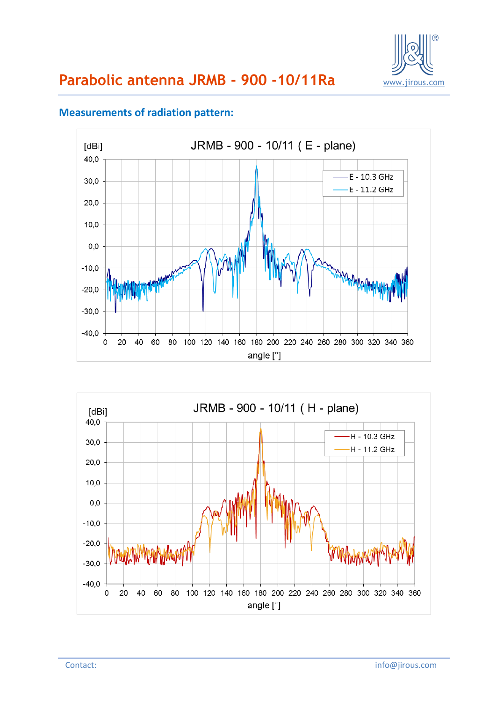

#### **Measurements of radiation pattern:**